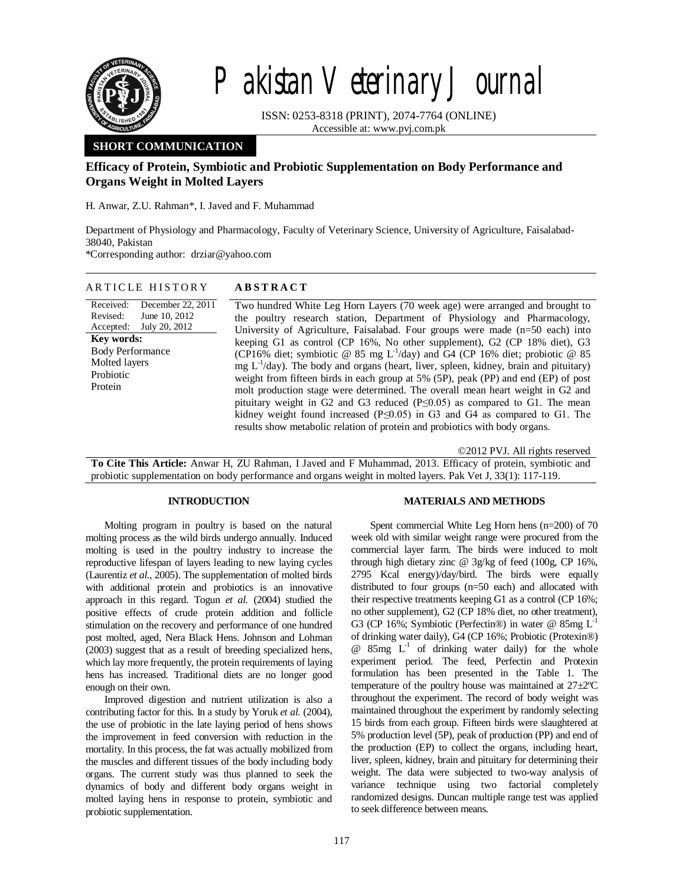

# Pakistan Veterinary Journal

ISSN: 0253-8318 (PRINT), 2074-7764 (ONLINE) Accessible at: www.pvj.com.pk

# **SHORT COMMUNICATION**

## **Efficacy of Protein, Symbiotic and Probiotic Supplementation on Body Performance and Organs Weight in Molted Layers**

H. Anwar, Z.U. Rahman\*, I. Javed and F. Muhammad

Department of Physiology and Pharmacology, Faculty of Veterinary Science, University of Agriculture, Faisalabad-38040, Pakistan

\*Corresponding author: drziar@yahoo.com

## A R T I C L E H I S T O R Y **A B S T R A C T**

Received: Revised: Accepted: December 22, 2011 June 10, 2012 July 20, 2012 **Key words:**  Body Performance Molted layers Probiotic Protein

Two hundred White Leg Horn Layers (70 week age) were arranged and brought to the poultry research station, Department of Physiology and Pharmacology, University of Agriculture, Faisalabad. Four groups were made (n=50 each) into keeping G1 as control (CP 16%, No other supplement), G2 (CP 18% diet), G3 (CP16% diet; symbiotic @ 85 mg L<sup>-1</sup>/day) and G4 (CP 16% diet; probiotic @ 85 mg  $L^{-1}/day$ ). The body and organs (heart, liver, spleen, kidney, brain and pituitary) weight from fifteen birds in each group at 5% (5P), peak (PP) and end (EP) of post molt production stage were determined. The overall mean heart weight in G2 and pituitary weight in G2 and G3 reduced  $(P \le 0.05)$  as compared to G1. The mean kidney weight found increased (P≤0.05) in G3 and G4 as compared to G1. The results show metabolic relation of protein and probiotics with body organs.

©2012 PVJ. All rights reserved

**To Cite This Article:** Anwar H, ZU Rahman, I Javed and F Muhammad, 2013. Efficacy of protein, symbiotic and probiotic supplementation on body performance and organs weight in molted layers. Pak Vet J, 33(1): 117-119.

#### **INTRODUCTION**

### **MATERIALS AND METHODS**

Molting program in poultry is based on the natural molting process as the wild birds undergo annually. Induced molting is used in the poultry industry to increase the reproductive lifespan of layers leading to new laying cycles (Laurentiz *et al.,* 2005). The supplementation of molted birds with additional protein and probiotics is an innovative approach in this regard. Togun *et al.* (2004) studied the positive effects of crude protein addition and follicle stimulation on the recovery and performance of one hundred post molted, aged, Nera Black Hens. Johnson and Lohman (2003) suggest that as a result of breeding specialized hens, which lay more frequently, the protein requirements of laying hens has increased. Traditional diets are no longer good enough on their own.

Improved digestion and nutrient utilization is also a contributing factor for this. In a study by Yoruk *et al.* (2004), the use of probiotic in the late laying period of hens shows the improvement in feed conversion with reduction in the mortality. In this process, the fat was actually mobilized from the muscles and different tissues of the body including body organs. The current study was thus planned to seek the dynamics of body and different body organs weight in molted laying hens in response to protein, symbiotic and probiotic supplementation.

Spent commercial White Leg Horn hens (n=200) of 70 week old with similar weight range were procured from the commercial layer farm. The birds were induced to molt through high dietary zinc @ 3g/kg of feed (100g, CP 16%, 2795 Kcal energy)/day/bird. The birds were equally distributed to four groups (n=50 each) and allocated with their respective treatments keeping G1 as a control (CP 16%; no other supplement), G2 (CP 18% diet, no other treatment), G3 (CP 16%; Symbiotic (Perfectin®) in water @ 85mg  $L^{-1}$ of drinking water daily), G4 (CP 16%; Probiotic (Protexin®)  $@$  85mg  $L^{-1}$  of drinking water daily) for the whole experiment period. The feed, Perfectin and Protexin formulation has been presented in the Table 1. The temperature of the poultry house was maintained at 27±2ºC throughout the experiment. The record of body weight was maintained throughout the experiment by randomly selecting 15 birds from each group. Fifteen birds were slaughtered at 5% production level (5P), peak of production (PP) and end of the production (EP) to collect the organs, including heart, liver, spleen, kidney, brain and pituitary for determining their weight. The data were subjected to two-way analysis of variance technique using two factorial completely randomized designs. Duncan multiple range test was applied to seek difference between means.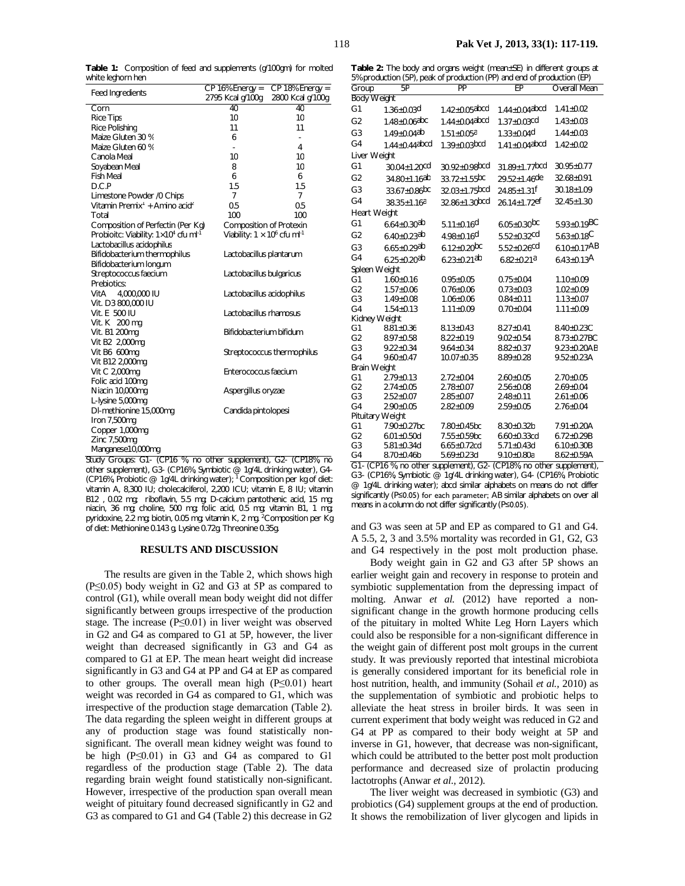**Table 1:** Composition of feed and supplements (g/100gm) for molted white leghorn hen

| Feed Ingredients                                           | $CP$ 16% Energy =                               | $CP$ 18% Energy =                              |
|------------------------------------------------------------|-------------------------------------------------|------------------------------------------------|
|                                                            | 2795 Kcal g/100g                                | 2800 Kcal g/100g                               |
| Corn                                                       | 40                                              | 40                                             |
| <b>Rice Tips</b>                                           | 10                                              | 10                                             |
| Rice Polishing                                             | 11                                              | 11                                             |
| Maize Gluten 30 %                                          | 6                                               |                                                |
| Maize Gluten 60 %                                          |                                                 | 4                                              |
| Canola Meal                                                | 10                                              | 10                                             |
| Soyabean Meal                                              | 8                                               | 10                                             |
| <b>Fish Meal</b>                                           | 6                                               | 6                                              |
| D.C.P                                                      | 1.5                                             | 1.5                                            |
| Limestone Powder /0 Chips                                  | 7                                               | $\overline{7}$                                 |
| Vitamin Premix <sup>1</sup> + Amino acid <sup>2</sup>      | 0.5                                             | 0.5                                            |
| Total                                                      | 100                                             | 100                                            |
| Composition of Perfectin (Per Kg)                          | Composition of Protexin                         |                                                |
| Probioitc: Viability: $1 \times 10^4$ cfu ml <sup>-1</sup> | Viability: $1 \times 10^6$ cfu ml <sup>-1</sup> |                                                |
| Lactobacillus acidophilus                                  |                                                 |                                                |
| Bifidobacterium thermophilus                               | Lactobacillus plantarum                         |                                                |
| Bifidobacterium longum                                     |                                                 |                                                |
| Streptococcus faecium                                      | Lactobacillus bulgaricus                        |                                                |
| Prebiotics:                                                |                                                 |                                                |
| VitA 4,000,000 IU                                          | Lactobacillus acidophilus                       |                                                |
| Vit. D3 800,000 IU                                         |                                                 |                                                |
| Vit. E 500 IU                                              | Lactobacillus rhamosus                          |                                                |
| Vit. K 200 mg                                              |                                                 |                                                |
| Vit. B1 200mg                                              | Bifidobacterium bifidum                         |                                                |
| Vit B2 2,000mg                                             |                                                 |                                                |
| Vit B6 600mg                                               |                                                 | Streptococcus thermophilus                     |
| Vit B12 2,000mg                                            |                                                 |                                                |
| Vit C 2,000mg                                              | Enterococcus faecium                            |                                                |
| Folic acid 100mg                                           |                                                 |                                                |
| Niacin 10,000mg                                            | Aspergillus oryzae                              |                                                |
| L-lysine 5,000mg                                           |                                                 |                                                |
| DI-methionine 15,000mg                                     | Candida pintolopesi                             |                                                |
| Iron 7,500mg                                               |                                                 |                                                |
| Copper 1,000mg                                             |                                                 |                                                |
| Zinc 7,500mg                                               |                                                 |                                                |
| Manganese10,000mg                                          |                                                 |                                                |
| Study Groupe: G1, (CD16)<br>$\frac{0}{6}$                  | no other sunnlement)                            | G2-<br>$($ CD <sub>18%</sub><br>n <sub>c</sub> |

Study Groups: G1- (CP16 %, no other supplement), G2- (CP18%, no other supplement), G3- (CP16%, Symbiotic @ 1g/4L drinking water), G4- (CP16%, Probiotic  $@$  1g/4L drinking water); <sup>1</sup> Composition per kg of diet: vitamin A, 8,300 IU; cholecalciferol, 2,200 ICU; vitamin E, 8 IU; vitamin B12 , 0.02 mg; riboflavin, 5.5 mg; D-calcium pantothenic acid, 15 mg; niacin, 36 mg; choline, 500 mg; folic acid, 0.5 mg; vitamin B1, 1 mg; pyridoxine, 2.2 mg; biotin, 0.05 mg; vitamin K, 2 mg. <sup>2</sup>Composition per Kq of diet: Methionine 0.143 g, Lysine 0.72g, Threonine 0.35g.

#### **RESULTS AND DISCUSSION**

The results are given in the Table 2, which shows high (P≤0.05) body weight in G2 and G3 at 5P as compared to control (G1), while overall mean body weight did not differ significantly between groups irrespective of the production stage. The increase ( $P \le 0.01$ ) in liver weight was observed in G2 and G4 as compared to G1 at 5P, however, the liver weight than decreased significantly in G3 and G4 as compared to G1 at EP. The mean heart weight did increase significantly in G3 and G4 at PP and G4 at EP as compared to other groups. The overall mean high (P≤0.01) heart weight was recorded in G4 as compared to G1, which was irrespective of the production stage demarcation (Table 2). The data regarding the spleen weight in different groups at any of production stage was found statistically nonsignificant. The overall mean kidney weight was found to be high (P≤0.01) in G3 and G4 as compared to G1 regardless of the production stage (Table 2). The data regarding brain weight found statistically non-significant. However, irrespective of the production span overall mean weight of pituitary found decreased significantly in G2 and G3 as compared to G1 and G4 (Table 2) this decrease in G2

**Table 2:** The body and organs weight (mean±SE) in different groups at 5% production (5P), peak of production (PP) and end of production (EP)

| <b>Body Weight</b><br>$1.42 \pm 0.05$ abcd<br>$1.44 \pm 0.04$ abcd<br>G <sub>1</sub><br>$1.41 \pm 0.02$<br>$1.36 \pm 0.03$ d                                                              |  |
|-------------------------------------------------------------------------------------------------------------------------------------------------------------------------------------------|--|
|                                                                                                                                                                                           |  |
|                                                                                                                                                                                           |  |
| G <sub>2</sub><br>$1.48 \pm 0.06$ abc<br>$1.44 + 0.04$ abcd<br>$1.37 \pm 0.03$ <sup>cd</sup><br>$1.43 \pm 0.03$                                                                           |  |
| G <sub>3</sub><br>$1.49 \pm 0.04$ <sup>ab</sup><br>$1.33 \pm 0.04$ <sup>d</sup><br>$1.44 \pm 0.03$<br>$1.51 \pm 0.05a$                                                                    |  |
| G <sub>4</sub><br>$1.44 + 0.44$ abcd<br>$1.39 \pm 0.03$ bcd<br>$1.41 \pm 0.04$ abcd<br>$1.42 \pm 0.02$                                                                                    |  |
| Liver Weight                                                                                                                                                                              |  |
| G <sub>1</sub><br>$30.92 \pm 0.98$ bcd<br>$31.89 \pm 1.77$ bcd<br>$30.04 \pm 1.20$ <sup>cd</sup><br>30.95±0.77                                                                            |  |
| G <sub>2</sub><br>32.68±0.91<br>$34.80 \pm 1.16$ ab<br>$33.72 \pm 1.55$ <sub>bc</sub><br>$29.52 \pm 1.46$ de                                                                              |  |
| G <sub>3</sub><br>$30.18 \pm 1.09$<br>$33.67 \pm 0.86$ <sub>bc</sub><br>$32.03 \pm 1.75$ bcd<br>$24.85 \pm 1.31$ <sup>f</sup>                                                             |  |
| G4<br>$32.86 \pm 1.30$ bcd<br>$26.14 \pm 1.72$ ef<br>$32.45 \pm 1.30$<br>$38.35 \pm 1.16^a$                                                                                               |  |
| Heart Weight                                                                                                                                                                              |  |
| G <sub>1</sub><br>$5.93 \pm 0.19$ BC<br>$5.11 \pm 0.16$ <sup>d</sup><br>$6.05 \pm 0.30$ <sub>bc</sub><br>$6.64 \pm 0.30$ <sup>ab</sup>                                                    |  |
| G <sub>2</sub><br>$6.40 \pm 0.23$ ab<br>$4.98 \pm 0.16$ d<br>$5.52 \pm 0.32$ cd<br>$5.63 \pm 0.18$ C                                                                                      |  |
| $6.12 \pm 0.20$ <sub>bc</sub><br>$6.10 \pm 0.17AB$<br>G <sub>3</sub><br>$6.65 \pm 0.29$ ab<br>$5.52 \pm 0.26$ cd                                                                          |  |
| G <sub>4</sub><br>$6.25 \pm 0.20$ ab<br>$6.23 \pm 0.21$ ab<br>$6.43 \pm 0.13$ A<br>$6.82 \pm 0.21a$                                                                                       |  |
| Spleen Weight                                                                                                                                                                             |  |
| G <sub>1</sub><br>$0.95 \pm 0.05$<br>$0.75 \pm 0.04$<br>$1.60 \pm 0.16$<br>$1.10 \pm 0.09$                                                                                                |  |
| G <sub>2</sub><br>$1.57 \pm 0.06$<br>$0.76 \pm 0.06$<br>$0.73 \pm 0.03$<br>$1.02 \pm 0.09$                                                                                                |  |
| G <sub>3</sub><br>$0.84 \pm 0.11$<br>$1.49 \pm 0.08$<br>$1.06 \pm 0.06$<br>$1.13 \pm 0.07$                                                                                                |  |
| G <sub>4</sub><br>$1.54 \pm 0.13$<br>$1.11 \pm 0.09$<br>$0.70 \pm 0.04$<br>$1.11 \pm 0.09$                                                                                                |  |
| Kidney Weight                                                                                                                                                                             |  |
| G <sub>1</sub><br>8.40±0.23C<br>$8.81 \pm 0.36$<br>$8.13 \pm 0.43$<br>$8.27 \pm 0.41$                                                                                                     |  |
| G <sub>2</sub><br>8.73±0.27BC<br>$8.97 \pm 0.58$<br>$8.22 \pm 0.19$<br>$9.02 \pm 0.54$                                                                                                    |  |
| G <sub>3</sub><br>$9.22 \pm 0.34$<br>$9.64 \pm 0.34$<br>$8.82 \pm 0.37$<br>$9.23 \pm 0.20AB$                                                                                              |  |
| G <sub>4</sub><br>$9.60 \pm 0.47$<br>$10.07 \pm 0.35$<br>$8.89 \pm 0.28$<br>$9.52 \pm 0.23$ A                                                                                             |  |
| <b>Brain Weight</b>                                                                                                                                                                       |  |
| G <sub>1</sub><br>$2.79 \pm 0.13$<br>$2.72 \pm 0.04$<br>$2.60 \pm 0.05$<br>$2.70 \pm 0.05$                                                                                                |  |
| G <sub>2</sub><br>$2.74 \pm 0.05$<br>$2.78 \pm 0.07$<br>$2.56 \pm 0.08$<br>$2.69 \pm 0.04$                                                                                                |  |
| G <sub>3</sub><br>$2.52 \pm 0.07$<br>$2.85 \pm 0.07$<br>$2.48 \pm 0.11$<br>$2.61 \pm 0.06$                                                                                                |  |
| G <sub>4</sub><br>$2.90 \pm 0.05$<br>$2.82 \pm 0.09$<br>$2.59 \pm 0.05$<br>$2.76 \pm 0.04$                                                                                                |  |
| Pituitary Weight                                                                                                                                                                          |  |
| G <sub>1</sub><br>$7.90 \pm 0.27$ bc<br>7.80±0.45bc<br>$8.30 \pm 0.32$ b<br>7.91±0.20A                                                                                                    |  |
| G <sub>2</sub><br>$6.01 \pm 0.50$ d<br>$7.55 \pm 0.59$ bc<br>$6.60 \pm 0.33$ cd<br>$6.72 \pm 0.29B$                                                                                       |  |
| G <sub>3</sub><br>$5.81 \pm 0.34$ d<br>$6.65 \pm 0.72$ cd<br>$5.71 \pm 0.43$ d<br>$6.10 \pm 0.30B$                                                                                        |  |
| G <sub>4</sub><br>$8.70 \pm 0.46$ b<br>$5.69 \pm 0.23$ d<br>$9.10 \pm 0.80a$<br>$8.62 \pm 0.59$ A<br>$\sim$<br>$\sqrt{2}$<br>$(0.010)$ $(0.000)$<br>$\sim$ $\sim$ $\sim$<br>$\frac{1}{2}$ |  |

G1- (CP16 %, no other supplement), G2- (CP18%, no other supplement), G3- (CP16%, Symbiotic @ 1g/4L drinking water), G4- (CP16%, Probiotic @ 1g/4L drinking water); abcd similar alphabets on means do not differ significantly (P≤0.05) for each parameter; AB similar alphabets on over all means in a column do not differ significantly (P≤0.05).

and G3 was seen at 5P and EP as compared to G1 and G4. A 5.5, 2, 3 and 3.5% mortality was recorded in G1, G2, G3 and G4 respectively in the post molt production phase.

Body weight gain in G2 and G3 after 5P shows an earlier weight gain and recovery in response to protein and symbiotic supplementation from the depressing impact of molting. Anwar *et al.* (2012) have reported a nonsignificant change in the growth hormone producing cells of the pituitary in molted White Leg Horn Layers which could also be responsible for a non-significant difference in the weight gain of different post molt groups in the current study. It was previously reported that intestinal microbiota is generally considered important for its beneficial role in host nutrition, health, and immunity (Sohail *et al.,* 2010) as the supplementation of symbiotic and probiotic helps to alleviate the heat stress in broiler birds. It was seen in current experiment that body weight was reduced in G2 and G4 at PP as compared to their body weight at 5P and inverse in G1, however, that decrease was non-significant, which could be attributed to the better post molt production performance and decreased size of prolactin producing lactotrophs (Anwar *et al.,* 2012).

The liver weight was decreased in symbiotic (G3) and probiotics (G4) supplement groups at the end of production. It shows the remobilization of liver glycogen and lipids in